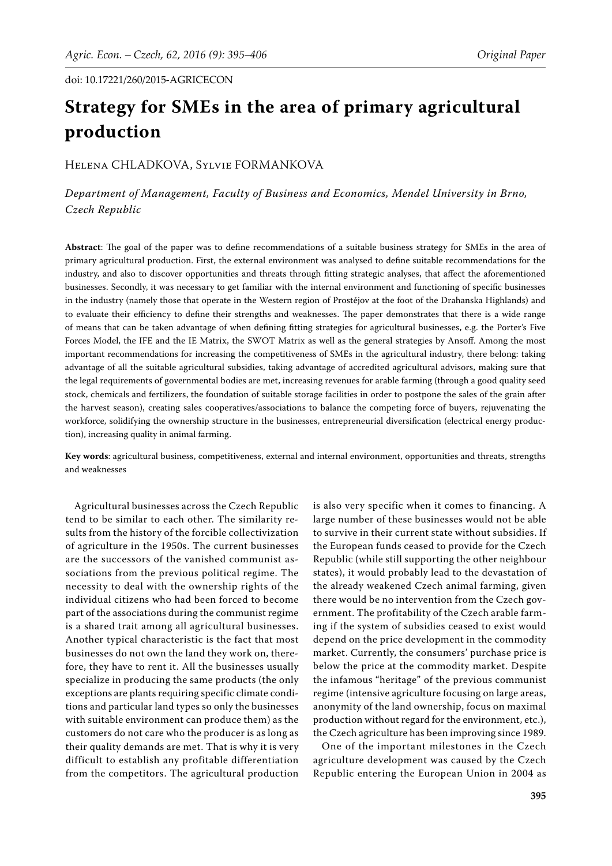# **Strategy for SMEs in the area of primary agricultural production**

# Helena CHLADKOVA, Sylvie FORMANKOVA

# *Department of Management, Faculty of Business and Economics, Mendel University in Brno, Czech Republic*

Abstract: The goal of the paper was to define recommendations of a suitable business strategy for SMEs in the area of primary agricultural production. First, the external environment was analysed to define suitable recommendations for the industry, and also to discover opportunities and threats through fitting strategic analyses, that affect the aforementioned businesses. Secondly, it was necessary to get familiar with the internal environment and functioning of specific businesses in the industry (namely those that operate in the Western region of Prostějov at the foot of the Drahanska Highlands) and to evaluate their efficiency to define their strengths and weaknesses. The paper demonstrates that there is a wide range of means that can be taken advantage of when defining fitting strategies for agricultural businesses, e.g. the Porter's Five Forces Model, the IFE and the IE Matrix, the SWOT Matrix as well as the general strategies by Ansoff . Among the most important recommendations for increasing the competitiveness of SMEs in the agricultural industry, there belong: taking advantage of all the suitable agricultural subsidies, taking advantage of accredited agricultural advisors, making sure that the legal requirements of governmental bodies are met, increasing revenues for arable farming (through a good quality seed stock, chemicals and fertilizers, the foundation of suitable storage facilities in order to postpone the sales of the grain after the harvest season), creating sales cooperatives/associations to balance the competing force of buyers, rejuvenating the workforce, solidifying the ownership structure in the businesses, entrepreneurial diversification (electrical energy production), increasing quality in animal farming.

**Key words**: agricultural business, competitiveness, external and internal environment, opportunities and threats, strengths and weaknesses

Agricultural businesses across the Czech Republic tend to be similar to each other. The similarity results from the history of the forcible collectivization of agriculture in the 1950s. The current businesses are the successors of the vanished communist associations from the previous political regime. The necessity to deal with the ownership rights of the individual citizens who had been forced to become part of the associations during the communist regime is a shared trait among all agricultural businesses. Another typical characteristic is the fact that most businesses do not own the land they work on, therefore, they have to rent it. All the businesses usually specialize in producing the same products (the only exceptions are plants requiring specific climate conditions and particular land types so only the businesses with suitable environment can produce them) as the customers do not care who the producer is as long as their quality demands are met. That is why it is very difficult to establish any profitable differentiation from the competitors. The agricultural production

is also very specific when it comes to financing. A large number of these businesses would not be able to survive in their current state without subsidies. If the European funds ceased to provide for the Czech Republic (while still supporting the other neighbour states), it would probably lead to the devastation of the already weakened Czech animal farming, given there would be no intervention from the Czech government. The profitability of the Czech arable farming if the system of subsidies ceased to exist would depend on the price development in the commodity market. Currently, the consumers' purchase price is below the price at the commodity market. Despite the infamous "heritage" of the previous communist regime (intensive agriculture focusing on large areas, anonymity of the land ownership, focus on maximal production without regard for the environment, etc.), the Czech agriculture has been improving since 1989.

One of the important milestones in the Czech agriculture development was caused by the Czech Republic entering the European Union in 2004 as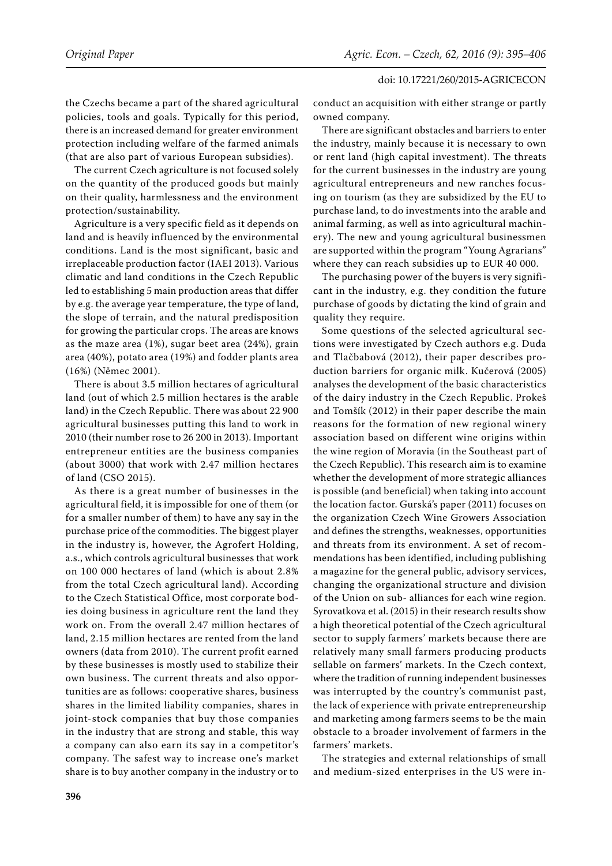the Czechs became a part of the shared agricultural policies, tools and goals. Typically for this period, there is an increased demand for greater environment protection including welfare of the farmed animals (that are also part of various European subsidies).

The current Czech agriculture is not focused solely on the quantity of the produced goods but mainly on their quality, harmlessness and the environment protection/sustainability.

Agriculture is a very specific field as it depends on land and is heavily influenced by the environmental conditions. Land is the most significant, basic and irreplaceable production factor (IAEI 2013). Various climatic and land conditions in the Czech Republic led to establishing 5 main production areas that differ by e.g. the average year temperature, the type of land, the slope of terrain, and the natural predisposition for growing the particular crops. The areas are knows as the maze area (1%), sugar beet area (24%), grain area (40%), potato area (19%) and fodder plants area (16%) (Němec 2001).

There is about 3.5 million hectares of agricultural land (out of which 2.5 million hectares is the arable land) in the Czech Republic. There was about 22 900 agricultural businesses putting this land to work in 2010 (their number rose to 26 200 in 2013). Important entrepreneur entities are the business companies (about 3000) that work with 2.47 million hectares of land (CSO 2015).

As there is a great number of businesses in the agricultural field, it is impossible for one of them (or for a smaller number of them) to have any say in the purchase price of the commodities. The biggest player in the industry is, however, the Agrofert Holding, a.s., which controls agricultural businesses that work on 100 000 hectares of land (which is about 2.8% from the total Czech agricultural land). According to the Czech Statistical Office, most corporate bodies doing business in agriculture rent the land they work on. From the overall 2.47 million hectares of land, 2.15 million hectares are rented from the land owners (data from 2010). The current profit earned by these businesses is mostly used to stabilize their own business. The current threats and also opportunities are as follows: cooperative shares, business shares in the limited liability companies, shares in joint-stock companies that buy those companies in the industry that are strong and stable, this way a company can also earn its say in a competitor's company. The safest way to increase one's market share is to buy another company in the industry or to

conduct an acquisition with either strange or partly owned company.

There are significant obstacles and barriers to enter the industry, mainly because it is necessary to own or rent land (high capital investment). The threats for the current businesses in the industry are young agricultural entrepreneurs and new ranches focusing on tourism (as they are subsidized by the EU to purchase land, to do investments into the arable and animal farming, as well as into agricultural machinery). The new and young agricultural businessmen are supported within the program "Young Agrarians" where they can reach subsidies up to EUR 40 000.

The purchasing power of the buyers is very significant in the industry, e.g. they condition the future purchase of goods by dictating the kind of grain and quality they require.

Some questions of the selected agricultural sections were investigated by Czech authors e.g. Duda and Tlačbabová (2012), their paper describes production barriers for organic milk. Kučerová (2005) analyses the development of the basic characteristics of the dairy industry in the Czech Republic. Prokeš and Tomšík (2012) in their paper describe the main reasons for the formation of new regional winery association based on different wine origins within the wine region of Moravia (in the Southeast part of the Czech Republic). This research aim is to examine whether the development of more strategic alliances is possible (and beneficial) when taking into account the location factor. Gurská's paper (2011) focuses on the organization Czech Wine Growers Association and defines the strengths, weaknesses, opportunities and threats from its environment. A set of recommendations has been identified, including publishing a magazine for the general public, advisory services, changing the organizational structure and division of the Union on sub- alliances for each wine region. Syrovatkova et al. (2015) in their research results show a high theoretical potential of the Czech agricultural sector to supply farmers' markets because there are relatively many small farmers producing products sellable on farmers' markets. In the Czech context, where the tradition of running independent businesses was interrupted by the country's communist past, the lack of experience with private entrepreneurship and marketing among farmers seems to be the main obstacle to a broader involvement of farmers in the farmers' markets.

The strategies and external relationships of small and medium-sized enterprises in the US were in-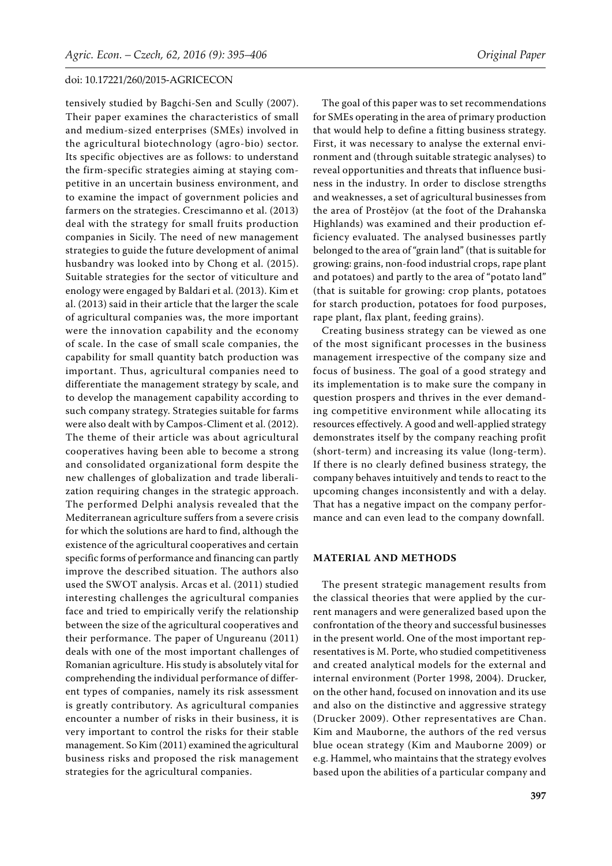tensively studied by Bagchi-Sen and Scully (2007). Their paper examines the characteristics of small and medium-sized enterprises (SMEs) involved in the agricultural biotechnology (agro-bio) sector. Its specific objectives are as follows: to understand the firm-specific strategies aiming at staying competitive in an uncertain business environment, and to examine the impact of government policies and farmers on the strategies. Crescimanno et al. (2013) deal with the strategy for small fruits production companies in Sicily. The need of new management strategies to guide the future development of animal husbandry was looked into by Chong et al. (2015). Suitable strategies for the sector of viticulture and enology were engaged by Baldari et al. (2013). Kim et al. (2013) said in their article that the larger the scale of agricultural companies was, the more important were the innovation capability and the economy of scale. In the case of small scale companies, the capability for small quantity batch production was important. Thus, agricultural companies need to differentiate the management strategy by scale, and to develop the management capability according to such company strategy. Strategies suitable for farms were also dealt with by Campos-Climent et al. (2012). The theme of their article was about agricultural cooperatives having been able to become a strong and consolidated organizational form despite the new challenges of globalization and trade liberalization requiring changes in the strategic approach. The performed Delphi analysis revealed that the Mediterranean agriculture suffers from a severe crisis for which the solutions are hard to find, although the existence of the agricultural cooperatives and certain specific forms of performance and financing can partly improve the described situation. The authors also used the SWOT analysis. Arcas et al. (2011) studied interesting challenges the agricultural companies face and tried to empirically verify the relationship between the size of the agricultural cooperatives and their performance. The paper of Ungureanu (2011) deals with one of the most important challenges of Romanian agriculture. His study is absolutely vital for comprehending the individual performance of different types of companies, namely its risk assessment is greatly contributory. As agricultural companies encounter a number of risks in their business, it is very important to control the risks for their stable management. So Kim (2011) examined the agricultural business risks and proposed the risk management strategies for the agricultural companies.

The goal of this paper was to set recommendations for SMEs operating in the area of primary production that would help to define a fitting business strategy. First, it was necessary to analyse the external environment and (through suitable strategic analyses) to reveal opportunities and threats that influence business in the industry. In order to disclose strengths and weaknesses, a set of agricultural businesses from the area of Prostějov (at the foot of the Drahanska Highlands) was examined and their production efficiency evaluated. The analysed businesses partly belonged to the area of "grain land" (that is suitable for growing: grains, non-food industrial crops, rape plant and potatoes) and partly to the area of "potato land" (that is suitable for growing: crop plants, potatoes for starch production, potatoes for food purposes, rape plant, flax plant, feeding grains).

Creating business strategy can be viewed as one of the most significant processes in the business management irrespective of the company size and focus of business. The goal of a good strategy and its implementation is to make sure the company in question prospers and thrives in the ever demanding competitive environment while allocating its resources effectively. A good and well-applied strategy demonstrates itself by the company reaching profit (short-term) and increasing its value (long-term). If there is no clearly defined business strategy, the company behaves intuitively and tends to react to the upcoming changes inconsistently and with a delay. That has a negative impact on the company performance and can even lead to the company downfall.

# **MATERIAL AND METHODS**

The present strategic management results from the classical theories that were applied by the current managers and were generalized based upon the confrontation of the theory and successful businesses in the present world. One of the most important representatives is M. Porte, who studied competitiveness and created analytical models for the external and internal environment (Porter 1998, 2004). Drucker, on the other hand, focused on innovation and its use and also on the distinctive and aggressive strategy (Drucker 2009). Other representatives are Chan. Kim and Mauborne, the authors of the red versus blue ocean strategy (Kim and Mauborne 2009) or e.g. Hammel, who maintains that the strategy evolves based upon the abilities of a particular company and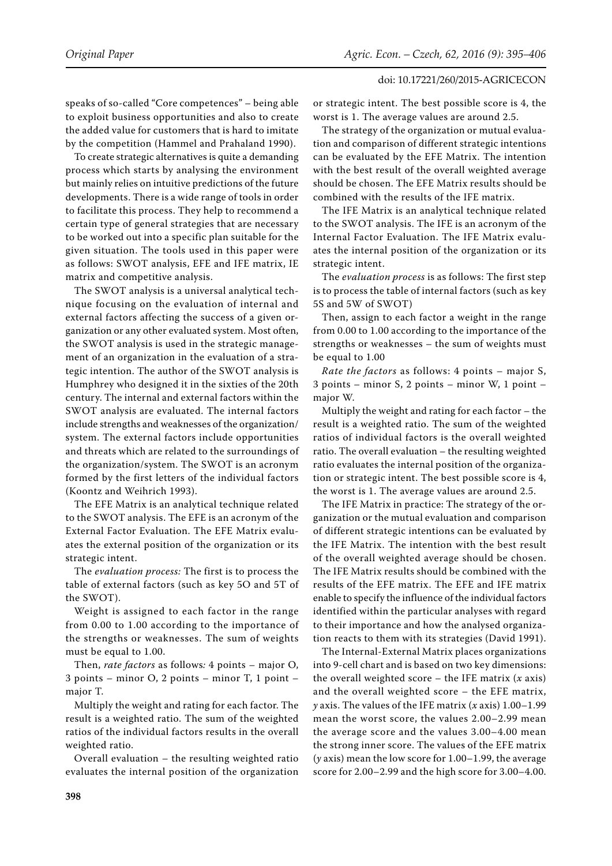speaks of so-called "Core competences" – being able to exploit business opportunities and also to create the added value for customers that is hard to imitate by the competition (Hammel and Prahaland 1990).

To create strategic alternatives is quite a demanding process which starts by analysing the environment but mainly relies on intuitive predictions of the future developments. There is a wide range of tools in order to facilitate this process. They help to recommend a certain type of general strategies that are necessary to be worked out into a specific plan suitable for the given situation. The tools used in this paper were as follows: SWOT analysis, EFE and IFE matrix, IE matrix and competitive analysis.

The SWOT analysis is a universal analytical technique focusing on the evaluation of internal and external factors affecting the success of a given organization or any other evaluated system. Most often, the SWOT analysis is used in the strategic management of an organization in the evaluation of a strategic intention. The author of the SWOT analysis is Humphrey who designed it in the sixties of the 20th century. The internal and external factors within the SWOT analysis are evaluated. The internal factors include strengths and weaknesses of the organization/ system. The external factors include opportunities and threats which are related to the surroundings of the organization/system. The SWOT is an acronym formed by the first letters of the individual factors (Koontz and Weihrich 1993).

The EFE Matrix is an analytical technique related to the SWOT analysis. The EFE is an acronym of the External Factor Evaluation. The EFE Matrix evaluates the external position of the organization or its strategic intent.

The *evaluation process:* The first is to process the table of external factors (such as key 5O and 5T of the SWOT).

Weight is assigned to each factor in the range from 0.00 to 1.00 according to the importance of the strengths or weaknesses. The sum of weights must be equal to 1.00.

Then, *rate factors* as follows*:* 4 points – major O, 3 points – minor O, 2 points – minor T, 1 point – major T.

Multiply the weight and rating for each factor. The result is a weighted ratio. The sum of the weighted ratios of the individual factors results in the overall weighted ratio.

Overall evaluation – the resulting weighted ratio evaluates the internal position of the organization

or strategic intent. The best possible score is 4, the worst is 1. The average values are around 2.5.

The strategy of the organization or mutual evaluation and comparison of different strategic intentions can be evaluated by the EFE Matrix. The intention with the best result of the overall weighted average should be chosen. The EFE Matrix results should be combined with the results of the IFE matrix.

The IFE Matrix is an analytical technique related to the SWOT analysis. The IFE is an acronym of the Internal Factor Evaluation. The IFE Matrix evaluates the internal position of the organization or its strategic intent.

The *evaluation process* is as follows: The first step is to process the table of internal factors (such as key 5S and 5W of SWOT)

Then, assign to each factor a weight in the range from 0.00 to 1.00 according to the importance of the strengths or weaknesses – the sum of weights must be equal to 1.00

*Rate the factors* as follows: 4 points – major S, 3 points – minor S, 2 points – minor W, 1 point – major W.

Multiply the weight and rating for each factor – the result is a weighted ratio. The sum of the weighted ratios of individual factors is the overall weighted ratio. The overall evaluation – the resulting weighted ratio evaluates the internal position of the organization or strategic intent. The best possible score is 4, the worst is 1. The average values are around 2.5.

The IFE Matrix in practice: The strategy of the organization or the mutual evaluation and comparison of different strategic intentions can be evaluated by the IFE Matrix. The intention with the best result of the overall weighted average should be chosen. The IFE Matrix results should be combined with the results of the EFE matrix. The EFE and IFE matrix enable to specify the influence of the individual factors identified within the particular analyses with regard to their importance and how the analysed organization reacts to them with its strategies (David 1991).

The Internal-External Matrix places organizations into 9-cell chart and is based on two key dimensions: the overall weighted score – the IFE matrix (*x* axis) and the overall weighted score – the EFE matrix, *y* axis. The values of the IFE matrix (*x* axis) 1.00–1.99 mean the worst score, the values 2.00–2.99 mean the average score and the values 3.00–4.00 mean the strong inner score. The values of the EFE matrix (*y* axis) mean the low score for 1.00–1.99, the average score for 2.00–2.99 and the high score for 3.00–4.00.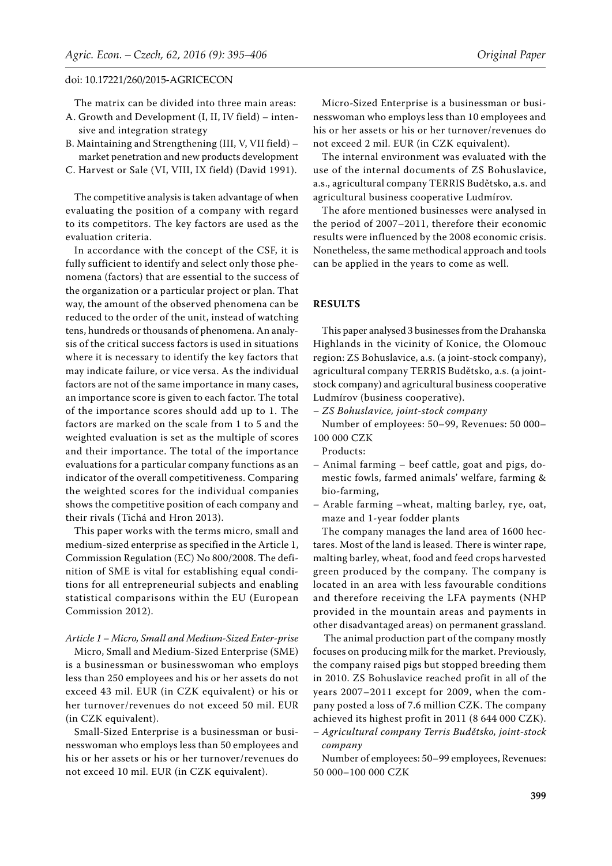The matrix can be divided into three main areas:

- A. Growth and Development (I, II, IV field) intensive and integration strategy
- B. Maintaining and Strengthening (III, V, VII field) market penetration and new products development
- C. Harvest or Sale (VI, VIII, IX field) (David 1991).

The competitive analysis is taken advantage of when evaluating the position of a company with regard to its competitors. The key factors are used as the evaluation criteria.

In accordance with the concept of the CSF, it is fully sufficient to identify and select only those phenomena (factors) that are essential to the success of the organization or a particular project or plan. That way, the amount of the observed phenomena can be reduced to the order of the unit, instead of watching tens, hundreds or thousands of phenomena. An analysis of the critical success factors is used in situations where it is necessary to identify the key factors that may indicate failure, or vice versa. As the individual factors are not of the same importance in many cases, an importance score is given to each factor. The total of the importance scores should add up to 1. The factors are marked on the scale from 1 to 5 and the weighted evaluation is set as the multiple of scores and their importance. The total of the importance evaluations for a particular company functions as an indicator of the overall competitiveness. Comparing the weighted scores for the individual companies shows the competitive position of each company and their rivals (Tichá and Hron 2013).

This paper works with the terms micro, small and medium-sized enterprise as specified in the Article 1, Commission Regulation (EC) No 800/2008. The definition of SME is vital for establishing equal conditions for all entrepreneurial subjects and enabling statistical comparisons within the EU (European Commission 2012).

# *Article 1 – Micro, Small and Medium-Sized Enter-prise*

Micro, Small and Medium-Sized Enterprise (SME) is a businessman or businesswoman who employs less than 250 employees and his or her assets do not exceed 43 mil. EUR (in CZK equivalent) or his or her turnover/revenues do not exceed 50 mil. EUR (in CZK equivalent).

Small-Sized Enterprise is a businessman or businesswoman who employs less than 50 employees and his or her assets or his or her turnover/revenues do not exceed 10 mil. EUR (in CZK equivalent).

Micro-Sized Enterprise is a businessman or businesswoman who employs less than 10 employees and his or her assets or his or her turnover/revenues do not exceed 2 mil. EUR (in CZK equivalent).

The internal environment was evaluated with the use of the internal documents of ZS Bohuslavice, a.s., agricultural company TERRIS Budětsko, a.s. and agricultural business cooperative Ludmírov.

The afore mentioned businesses were analysed in the period of 2007–2011, therefore their economic results were influenced by the 2008 economic crisis. Nonetheless, the same methodical approach and tools can be applied in the years to come as well.

#### **RESULTS**

This paper analysed 3 businesses from the Drahanska Highlands in the vicinity of Konice, the Olomouc region: ZS Bohuslavice, a.s. (a joint-stock company), agricultural company TERRIS Budětsko, a.s. (a jointstock company) and agricultural business cooperative Ludmírov (business cooperative).

*– ZS Bohuslavice, joint-stock company*

Number of employees: 50–99, Revenues: 50 000– 100 000 CZK

Products:

- Animal farming beef cattle, goat and pigs, domestic fowls, farmed animals' welfare, farming & bio-farming,
- Arable farming –wheat, malting barley, rye, oat, maze and 1-year fodder plants

The company manages the land area of 1600 hectares. Most of the land is leased. There is winter rape, malting barley, wheat, food and feed crops harvested green produced by the company. The company is located in an area with less favourable conditions and therefore receiving the LFA payments (NHP provided in the mountain areas and payments in other disadvantaged areas) on permanent grassland.

 The animal production part of the company mostly focuses on producing milk for the market. Previously, the company raised pigs but stopped breeding them in 2010. ZS Bohuslavice reached profit in all of the years 2007–2011 except for 2009, when the company posted a loss of 7.6 million CZK. The company achieved its highest profit in 2011 (8 644 000 CZK). *– Agricultural company Terris Budětsko, joint-stock* 

*company* 

Number of employees: 50–99 employees, Revenues: 50 000–100 000 CZK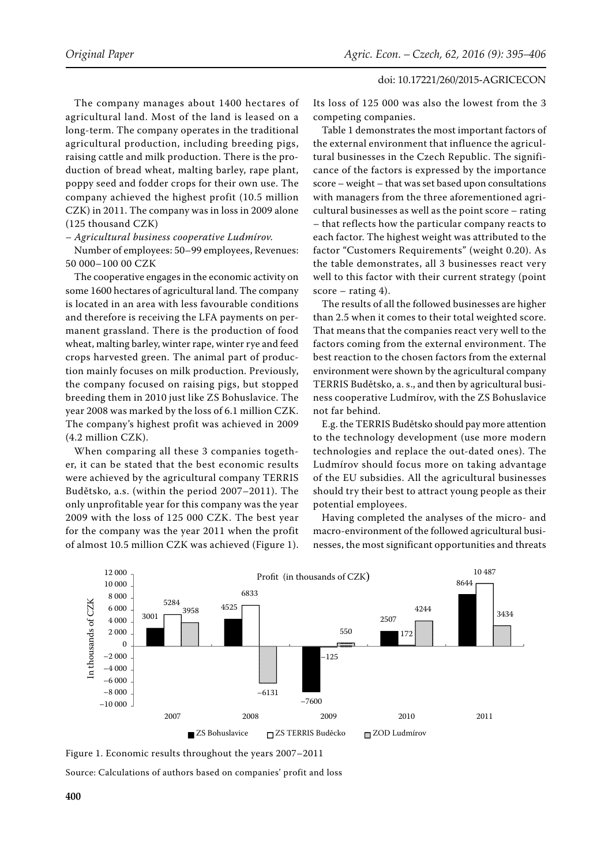The company manages about 1400 hectares of agricultural land. Most of the land is leased on a long-term. The company operates in the traditional agricultural production, including breeding pigs, raising cattle and milk production. There is the production of bread wheat, malting barley, rape plant, poppy seed and fodder crops for their own use. The company achieved the highest profit (10.5 million CZK) in 2011. The company was in loss in 2009 alone (125 thousand CZK)

*– Agricultural business cooperative Ludmírov.* 

Number of employees: 50–99 employees, Revenues: 50 000–100 00 CZK

The cooperative engages in the economic activity on some 1600 hectares of agricultural land. The company is located in an area with less favourable conditions and therefore is receiving the LFA payments on permanent grassland. There is the production of food wheat, malting barley, winter rape, winter rye and feed crops harvested green. The animal part of production mainly focuses on milk production. Previously, the company focused on raising pigs, but stopped breeding them in 2010 just like ZS Bohuslavice. The year 2008 was marked by the loss of 6.1 million CZK. The company's highest profit was achieved in 2009 (4.2 million CZK).

When comparing all these 3 companies together, it can be stated that the best economic results were achieved by the agricultural company TERRIS Budětsko, a.s. (within the period 2007–2011). The only unprofitable year for this company was the year 2009 with the loss of 125 000 CZK. The best year for the company was the year 2011 when the profit of almost 10.5 million CZK was achieved (Figure 1).

Its loss of 125 000 was also the lowest from the 3 competing companies.

Table 1 demonstrates the most important factors of the external environment that influence the agricultural businesses in the Czech Republic. The significance of the factors is expressed by the importance score – weight – that was set based upon consultations with managers from the three aforementioned agricultural businesses as well as the point score – rating – that reflects how the particular company reacts to each factor. The highest weight was attributed to the factor "Customers Requirements" (weight 0.20). As the table demonstrates, all 3 businesses react very well to this factor with their current strategy (point score – rating 4).

The results of all the followed businesses are higher than 2.5 when it comes to their total weighted score. That means that the companies react very well to the factors coming from the external environment. The best reaction to the chosen factors from the external environment were shown by the agricultural company TERRIS Budětsko, a. s., and then by agricultural business cooperative Ludmírov, with the ZS Bohuslavice not far behind.

E.g. the TERRIS Budětsko should pay more attention to the technology development (use more modern technologies and replace the out-dated ones). The Ludmírov should focus more on taking advantage of the EU subsidies. All the agricultural businesses should try their best to attract young people as their potential employees.

Having completed the analyses of the micro- and macro-environment of the followed agricultural businesses, the most significant opportunities and threats



Figure 1. Economic results throughout the years 2007–2011

Source: Calculations of authors based on companies' profit and loss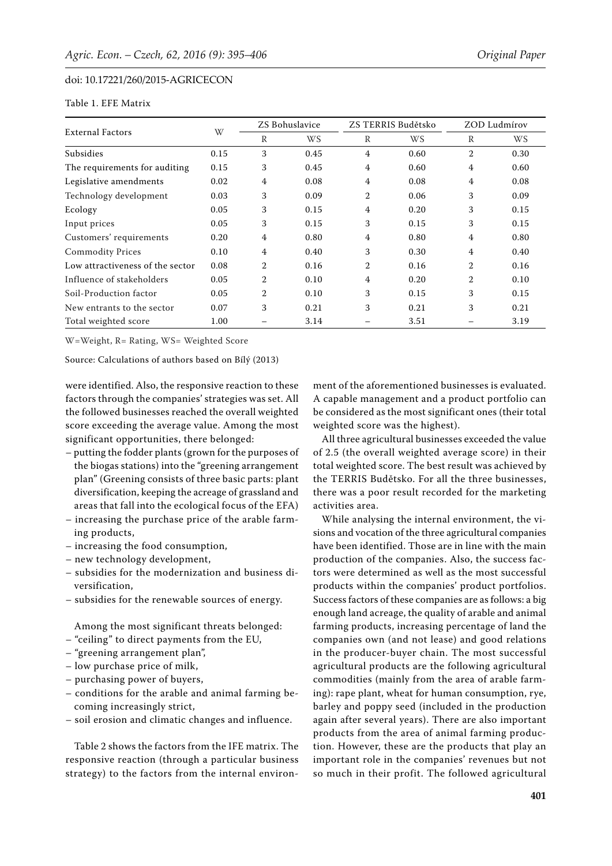#### Table 1. EFE Matrix

| <b>External Factors</b>          | W    | ZS Bohuslavice |      | ZS TERRIS Budětsko |      | ZOD Ludmírov |      |
|----------------------------------|------|----------------|------|--------------------|------|--------------|------|
|                                  |      | R              | WS   | R                  | WS   | R            | WS   |
| Subsidies                        | 0.15 | 3              | 0.45 | $\overline{4}$     | 0.60 | 2            | 0.30 |
| The requirements for auditing    | 0.15 | 3              | 0.45 | 4                  | 0.60 | 4            | 0.60 |
| Legislative amendments           | 0.02 | 4              | 0.08 | $\overline{4}$     | 0.08 | 4            | 0.08 |
| Technology development           | 0.03 | 3              | 0.09 | $\overline{2}$     | 0.06 | 3            | 0.09 |
| Ecology                          | 0.05 | 3              | 0.15 | 4                  | 0.20 | 3            | 0.15 |
| Input prices                     | 0.05 | 3              | 0.15 | 3                  | 0.15 | 3            | 0.15 |
| Customers' requirements          | 0.20 | 4              | 0.80 | 4                  | 0.80 | 4            | 0.80 |
| <b>Commodity Prices</b>          | 0.10 | 4              | 0.40 | 3                  | 0.30 | 4            | 0.40 |
| Low attractiveness of the sector | 0.08 | 2              | 0.16 | $\mathfrak{D}$     | 0.16 | 2            | 0.16 |
| Influence of stakeholders        | 0.05 | 2              | 0.10 | 4                  | 0.20 | 2            | 0.10 |
| Soil-Production factor           | 0.05 | 2              | 0.10 | 3                  | 0.15 | 3            | 0.15 |
| New entrants to the sector       | 0.07 | 3              | 0.21 | 3                  | 0.21 | 3            | 0.21 |
| Total weighted score             | 1.00 |                | 3.14 |                    | 3.51 |              | 3.19 |

W=Weight, R= Rating, WS= Weighted Score

Source: Calculations of authors based on Bílý (2013)

were identified. Also, the responsive reaction to these factors through the companies' strategies was set. All the followed businesses reached the overall weighted score exceeding the average value. Among the most significant opportunities, there belonged:

- putting the fodder plants (grown for the purposes of the biogas stations) into the "greening arrangement plan" (Greening consists of three basic parts: plant diversification, keeping the acreage of grassland and areas that fall into the ecological focus of the EFA)
- increasing the purchase price of the arable farming products,
- increasing the food consumption,
- new technology development,
- subsidies for the modernization and business diversification,
- subsidies for the renewable sources of energy.

Among the most significant threats belonged:

- "ceiling" to direct payments from the EU,
- "greening arrangement plan",
- low purchase price of milk,
- purchasing power of buyers,
- conditions for the arable and animal farming becoming increasingly strict,
- soil erosion and climatic changes and influence.

Table 2 shows the factors from the IFE matrix. The responsive reaction (through a particular business strategy) to the factors from the internal environment of the aforementioned businesses is evaluated. A capable management and a product portfolio can be considered as the most significant ones (their total weighted score was the highest).

All three agricultural businesses exceeded the value of 2.5 (the overall weighted average score) in their total weighted score. The best result was achieved by the TERRIS Budětsko. For all the three businesses, there was a poor result recorded for the marketing activities area.

While analysing the internal environment, the visions and vocation of the three agricultural companies have been identified. Those are in line with the main production of the companies. Also, the success factors were determined as well as the most successful products within the companies' product portfolios. Success factors of these companies are as follows: a big enough land acreage, the quality of arable and animal farming products, increasing percentage of land the companies own (and not lease) and good relations in the producer-buyer chain. The most successful agricultural products are the following agricultural commodities (mainly from the area of arable farming): rape plant, wheat for human consumption, rye, barley and poppy seed (included in the production again after several years). There are also important products from the area of animal farming production. However, these are the products that play an important role in the companies' revenues but not so much in their profit. The followed agricultural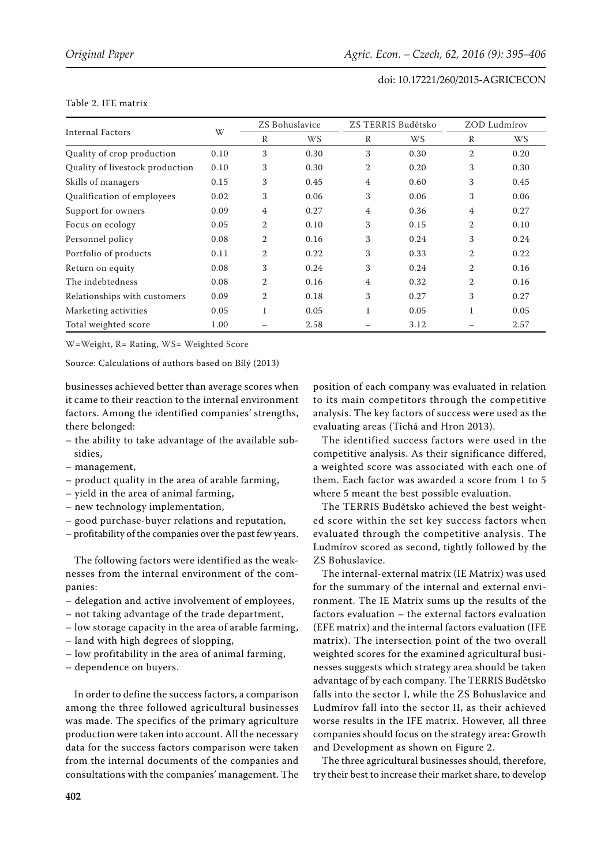| Internal Factors                | W    | ZS Bohuslavice |      | ZS TERRIS Budětsko |      | ZOD Ludmírov   |      |
|---------------------------------|------|----------------|------|--------------------|------|----------------|------|
|                                 |      | R              | WS   | R                  | WS   | R              | WS   |
| Quality of crop production      | 0.10 | 3              | 0.30 | 3                  | 0.30 | 2              | 0.20 |
| Quality of livestock production | 0.10 | 3              | 0.30 | $\overline{2}$     | 0.20 | 3              | 0.30 |
| Skills of managers              | 0.15 | 3              | 0.45 | 4                  | 0.60 | 3              | 0.45 |
| Qualification of employees      | 0.02 | 3              | 0.06 | 3                  | 0.06 | 3              | 0.06 |
| Support for owners              | 0.09 | 4              | 0.27 | 4                  | 0.36 | $\overline{4}$ | 0.27 |
| Focus on ecology                | 0.05 | 2              | 0.10 | 3                  | 0.15 | 2              | 0.10 |
| Personnel policy                | 0.08 | $\overline{2}$ | 0.16 | 3                  | 0.24 | 3              | 0.24 |
| Portfolio of products           | 0.11 | $\overline{2}$ | 0.22 | 3                  | 0.33 | 2              | 0.22 |
| Return on equity                | 0.08 | 3              | 0.24 | 3                  | 0.24 | 2              | 0.16 |
| The indebtedness                | 0.08 | $\mathbf{2}$   | 0.16 | $\overline{4}$     | 0.32 | 2              | 0.16 |
| Relationships with customers    | 0.09 | 2              | 0.18 | 3                  | 0.27 | 3              | 0.27 |
| Marketing activities            | 0.05 | 1              | 0.05 | $\perp$            | 0.05 | $\mathbf{1}$   | 0.05 |
| Total weighted score            | 1.00 |                | 2.58 |                    | 3.12 |                | 2.57 |

#### Table 2. IFE matrix

W=Weight, R= Rating, WS= Weighted Score

Source: Calculations of authors based on Bílý (2013)

businesses achieved better than average scores when it came to their reaction to the internal environment factors. Among the identified companies' strengths, there belonged:

- the ability to take advantage of the available subsidies,
- management,
- product quality in the area of arable farming,
- yield in the area of animal farming,
- new technology implementation,
- good purchase-buyer relations and reputation,
- profitability of the companies over the past few years.

The following factors were identified as the weaknesses from the internal environment of the companies:

- delegation and active involvement of employees,
- not taking advantage of the trade department,
- low storage capacity in the area of arable farming,
- land with high degrees of slopping,
- low profitability in the area of animal farming,
- dependence on buyers.

In order to define the success factors, a comparison among the three followed agricultural businesses was made. The specifics of the primary agriculture production were taken into account. All the necessary data for the success factors comparison were taken from the internal documents of the companies and consultations with the companies' management. The

position of each company was evaluated in relation to its main competitors through the competitive analysis. The key factors of success were used as the evaluating areas (Tichá and Hron 2013).

The identified success factors were used in the competitive analysis. As their significance differed, a weighted score was associated with each one of them. Each factor was awarded a score from 1 to 5 where 5 meant the best possible evaluation.

The TERRIS Budětsko achieved the best weighted score within the set key success factors when evaluated through the competitive analysis. The Ludmírov scored as second, tightly followed by the ZS Bohuslavice.

The internal-external matrix (IE Matrix) was used for the summary of the internal and external environment. The IE Matrix sums up the results of the factors evaluation – the external factors evaluation (EFE matrix) and the internal factors evaluation (IFE matrix). The intersection point of the two overall weighted scores for the examined agricultural businesses suggests which strategy area should be taken advantage of by each company. The TERRIS Budětsko falls into the sector I, while the ZS Bohuslavice and Ludmírov fall into the sector II, as their achieved worse results in the IFE matrix. However, all three companies should focus on the strategy area: Growth and Development as shown on Figure 2.

The three agricultural businesses should, therefore, try their best to increase their market share, to develop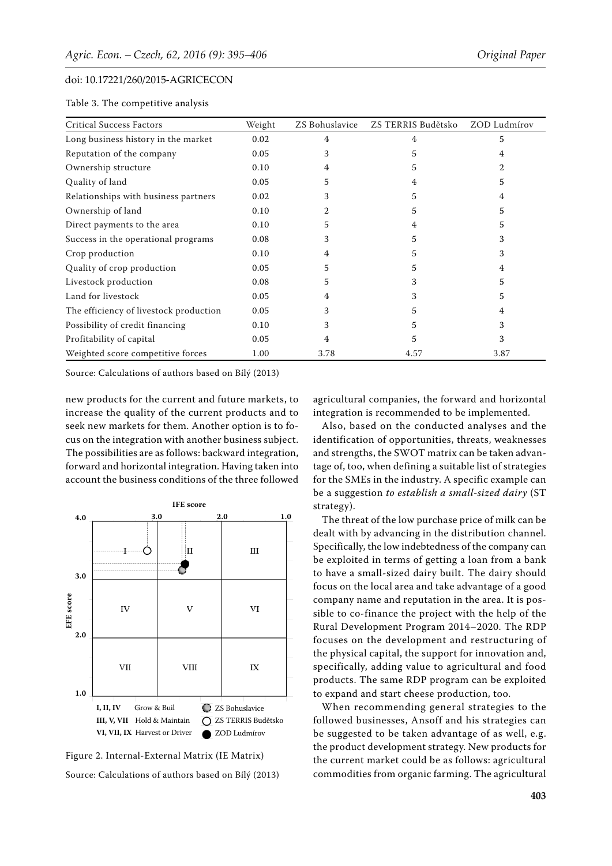| Table 3. The competitive analysis |  |  |  |  |  |  |
|-----------------------------------|--|--|--|--|--|--|
|-----------------------------------|--|--|--|--|--|--|

| <b>Critical Success Factors</b>        | Weight | ZS Bohuslavice | ZS TERRIS Budětsko | ZOD Ludmírov |
|----------------------------------------|--------|----------------|--------------------|--------------|
| Long business history in the market    | 0.02   | 4              | 4                  | 5            |
| Reputation of the company              | 0.05   | 3              | 5                  | 4            |
| Ownership structure                    | 0.10   | 4              | 5                  | 2            |
| Quality of land                        | 0.05   | 5              | 4                  | 5            |
| Relationships with business partners   | 0.02   | 3              | 5                  | 4            |
| Ownership of land                      | 0.10   | $\overline{2}$ | 5                  | 5            |
| Direct payments to the area            | 0.10   | 5              | 4                  | 5            |
| Success in the operational programs    | 0.08   | 3              | 5                  | 3            |
| Crop production                        | 0.10   | 4              | 5                  | 3            |
| Quality of crop production             | 0.05   | 5              | 5                  | 4            |
| Livestock production                   | 0.08   | 5              | 3                  | b.           |
| Land for livestock                     | 0.05   | $\overline{4}$ | 3                  | 5            |
| The efficiency of livestock production | 0.05   | 3              | 5                  | 4            |
| Possibility of credit financing        | 0.10   | 3              | 5                  | 3            |
| Profitability of capital               | 0.05   | $\overline{4}$ | 5                  | 3            |
| Weighted score competitive forces      | 1.00   | 3.78           | 4.57               | 3.87         |

Source: Calculations of authors based on Bílý (2013)

new products for the current and future markets, to increase the quality of the current products and to seek new markets for them. Another option is to focus on the integration with another business subject. The possibilities are as follows: backward integration, forward and horizontal integration. Having taken into account the business conditions of the three followed



Figure 2. Internal-External Matrix (IE Matrix) Source: Calculations of authors based on Bílý (2013)

agricultural companies, the forward and horizontal integration is recommended to be implemented.

Also, based on the conducted analyses and the identification of opportunities, threats, weaknesses and strengths, the SWOT matrix can be taken advantage of, too, when defining a suitable list of strategies for the SMEs in the industry. A specific example can be a suggestion *to establish a small-sized dairy* (ST strategy).

The threat of the low purchase price of milk can be dealt with by advancing in the distribution channel. Specifically, the low indebtedness of the company can be exploited in terms of getting a loan from a bank to have a small-sized dairy built. The dairy should focus on the local area and take advantage of a good company name and reputation in the area. It is possible to co-finance the project with the help of the Rural Development Program 2014–2020. The RDP focuses on the development and restructuring of the physical capital, the support for innovation and, specifically, adding value to agricultural and food products. The same RDP program can be exploited to expand and start cheese production, too.

When recommending general strategies to the followed businesses, Ansoff and his strategies can be suggested to be taken advantage of as well, e.g. the product development strategy. New products for the current market could be as follows: agricultural commodities from organic farming. The agricultural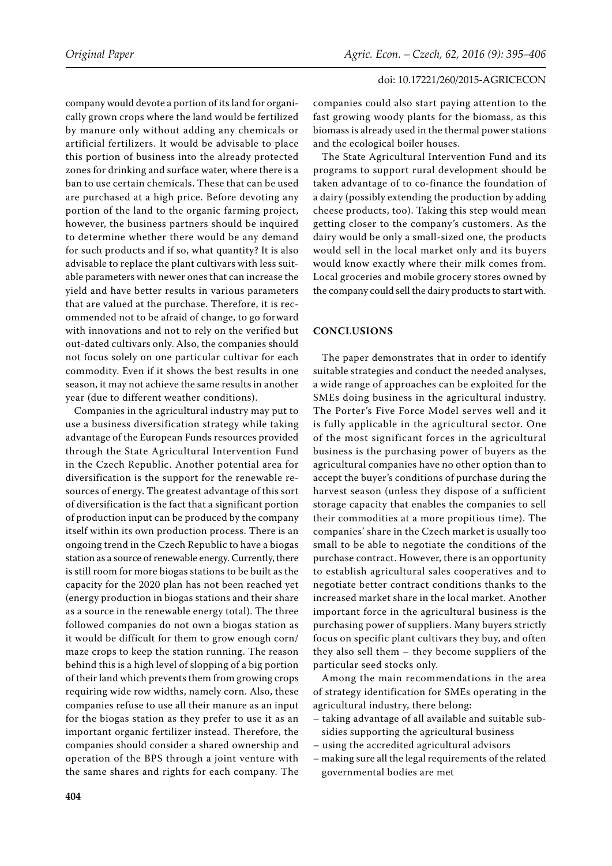company would devote a portion of its land for organically grown crops where the land would be fertilized by manure only without adding any chemicals or artificial fertilizers. It would be advisable to place this portion of business into the already protected zones for drinking and surface water, where there is a ban to use certain chemicals. These that can be used are purchased at a high price. Before devoting any portion of the land to the organic farming project, however, the business partners should be inquired to determine whether there would be any demand for such products and if so, what quantity? It is also advisable to replace the plant cultivars with less suitable parameters with newer ones that can increase the yield and have better results in various parameters that are valued at the purchase. Therefore, it is recommended not to be afraid of change, to go forward with innovations and not to rely on the verified but out-dated cultivars only. Also, the companies should not focus solely on one particular cultivar for each commodity. Even if it shows the best results in one season, it may not achieve the same results in another year (due to different weather conditions).

Companies in the agricultural industry may put to use a business diversification strategy while taking advantage of the European Funds resources provided through the State Agricultural Intervention Fund in the Czech Republic. Another potential area for diversification is the support for the renewable resources of energy. The greatest advantage of this sort of diversification is the fact that a significant portion of production input can be produced by the company itself within its own production process. There is an ongoing trend in the Czech Republic to have a biogas station as a source of renewable energy. Currently, there is still room for more biogas stations to be built as the capacity for the 2020 plan has not been reached yet (energy production in biogas stations and their share as a source in the renewable energy total). The three followed companies do not own a biogas station as it would be difficult for them to grow enough corn/ maze crops to keep the station running. The reason behind this is a high level of slopping of a big portion of their land which prevents them from growing crops requiring wide row widths, namely corn. Also, these companies refuse to use all their manure as an input for the biogas station as they prefer to use it as an important organic fertilizer instead. Therefore, the companies should consider a shared ownership and operation of the BPS through a joint venture with the same shares and rights for each company. The

companies could also start paying attention to the fast growing woody plants for the biomass, as this biomass is already used in the thermal power stations and the ecological boiler houses.

The State Agricultural Intervention Fund and its programs to support rural development should be taken advantage of to co-finance the foundation of a dairy (possibly extending the production by adding cheese products, too). Taking this step would mean getting closer to the company's customers. As the dairy would be only a small-sized one, the products would sell in the local market only and its buyers would know exactly where their milk comes from. Local groceries and mobile grocery stores owned by the company could sell the dairy products to start with.

# **CONCLUSIONS**

The paper demonstrates that in order to identify suitable strategies and conduct the needed analyses, a wide range of approaches can be exploited for the SMEs doing business in the agricultural industry. The Porter's Five Force Model serves well and it is fully applicable in the agricultural sector. One of the most significant forces in the agricultural business is the purchasing power of buyers as the agricultural companies have no other option than to accept the buyer's conditions of purchase during the harvest season (unless they dispose of a sufficient storage capacity that enables the companies to sell their commodities at a more propitious time). The companies' share in the Czech market is usually too small to be able to negotiate the conditions of the purchase contract. However, there is an opportunity to establish agricultural sales cooperatives and to negotiate better contract conditions thanks to the increased market share in the local market. Another important force in the agricultural business is the purchasing power of suppliers. Many buyers strictly focus on specific plant cultivars they buy, and often they also sell them – they become suppliers of the particular seed stocks only.

Among the main recommendations in the area of strategy identification for SMEs operating in the agricultural industry, there belong:

- taking advantage of all available and suitable subsidies supporting the agricultural business
- using the accredited agricultural advisors
- making sure all the legal requirements of the related governmental bodies are met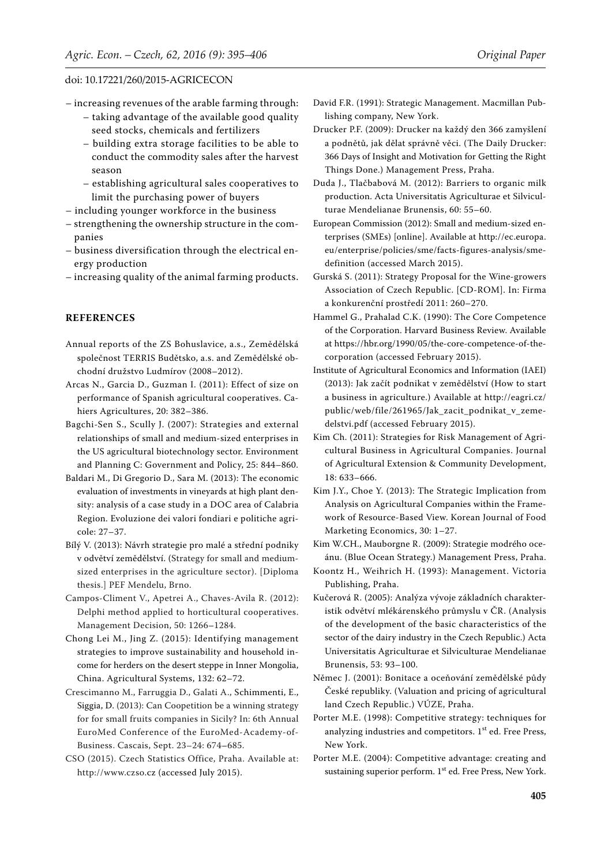- increasing revenues of the arable farming through:
	- taking advantage of the available good quality seed stocks, chemicals and fertilizers
	- building extra storage facilities to be able to conduct the commodity sales after the harvest season
	- establishing agricultural sales cooperatives to limit the purchasing power of buyers
- including younger workforce in the business
- strengthening the ownership structure in the companies
- business diversification through the electrical energy production
- increasing quality of the animal farming products.

### **REFERENCES**

- Annual reports of the ZS Bohuslavice, a.s., Zemědělská společnost TERRIS Budětsko, a.s. and Zemědělské obchodní družstvo Ludmírov (2008–2012).
- Arcas N., Garcia D., Guzman I. (2011): Effect of size on performance of Spanish agricultural cooperatives. Cahiers Agricultures, 20: 382–386.
- Bagchi-Sen S., Scully J. (2007): Strategies and external relationships of small and medium-sized enterprises in the US agricultural biotechnology sector. Environment and Planning C: Government and Policy, 25: 844–860.
- Baldari M., Di Gregorio D., Sara M. (2013): The economic evaluation of investments in vineyards at high plant density: analysis of a case study in a DOC area of Calabria Region. Evoluzione dei valori fondiari e politiche agricole: 27–37.
- Bílý V. (2013): Návrh strategie pro malé a střední podniky v odvětví zemědělství. (Strategy for small and mediumsized enterprises in the agriculture sector). [Diploma thesis.] PEF Mendelu, Brno.
- Campos-Climent V., Apetrei A., Chaves-Avila R. (2012): Delphi method applied to horticultural cooperatives. Management Decision, 50: 1266–1284.
- Chong Lei M., Jing Z. (2015): Identifying management strategies to improve sustainability and household income for herders on the desert steppe in Inner Mongolia, China. Agricultural Systems, 132: 62–72.
- Crescimanno M., Farruggia D., Galati A., Schimmenti, E., Siggia, D. (2013): Can Coopetition be a winning strategy for for small fruits companies in Sicily? In: 6th Annual EuroMed Conference of the EuroMed-Academy-of-Business. Cascais, Sept. 23–24: 674–685.
- CSO (2015). Czech Statistics Office, Praha. Available at: http://www.czso.cz (accessed July 2015).
- David F.R. (1991): Strategic Management. Macmillan Publishing company, New York.
- Drucker P.F. (2009): Drucker na každý den 366 zamyšlení a podnětů, jak dělat správně věci. (The Daily Drucker: 366 Days of Insight and Motivation for Getting the Right Things Done.) Management Press, Praha.
- Duda J., Tlačbabová M. (2012): Barriers to organic milk production. Acta Universitatis Agriculturae et Silviculturae Mendelianae Brunensis, 60: 55–60.
- European Commission (2012): Small and medium-sized enterprises (SMEs) [online]. Available at http://ec.europa. eu/enterprise/policies/sme/facts-figures-analysis/smedefinition (accessed March 2015).
- Gurská S. (2011): Strategy Proposal for the Wine-growers Association of Czech Republic. [CD-ROM]. In: Firma a konkurenční prostředí 2011: 260–270.
- Hammel G., Prahalad C.K. (1990): The Core Competence of the Corporation. Harvard Business Review. Available at https://hbr.org/1990/05/the-core-competence-of-thecorporation (accessed February 2015).
- Institute of Agricultural Economics and Information (IAEI) (2013): Jak začít podnikat v zemědělství (How to start a business in agriculture.) Available at http://eagri.cz/ public/web/file/261965/Jak\_zacit\_podnikat\_v\_zemedelstvi.pdf (accessed February 2015).
- Kim Ch. (2011): Strategies for Risk Management of Agricultural Business in Agricultural Companies. Journal of Agricultural Extension & Community Development, 18: 633–666.
- Kim J.Y., Choe Y. (2013): The Strategic Implication from Analysis on Agricultural Companies within the Framework of Resource-Based View. Korean Journal of Food Marketing Economics, 30: 1–27.
- Kim W.CH., Mauborgne R. (2009): Strategie modrého oceánu. (Blue Ocean Strategy.) Management Press, Praha.
- Koontz H., Weihrich H. (1993): Management. Victoria Publishing, Praha.
- Kučerová R. (2005): Analýza vývoje základních charakteristik odvětví mlékárenského průmyslu v ČR. (Analysis of the development of the basic characteristics of the sector of the dairy industry in the Czech Republic.) Acta Universitatis Agriculturae et Silviculturae Mendelianae Brunensis, 53: 93–100.
- Němec J. (2001): Bonitace a oceňování zemědělské půdy České republiky. (Valuation and pricing of agricultural land Czech Republic.) VÚZE, Praha.
- Porter M.E. (1998): Competitive strategy: techniques for analyzing industries and competitors. 1<sup>st</sup> ed. Free Press, New York.
- Porter M.E. (2004): Competitive advantage: creating and sustaining superior perform. 1<sup>st</sup> ed. Free Press, New York.